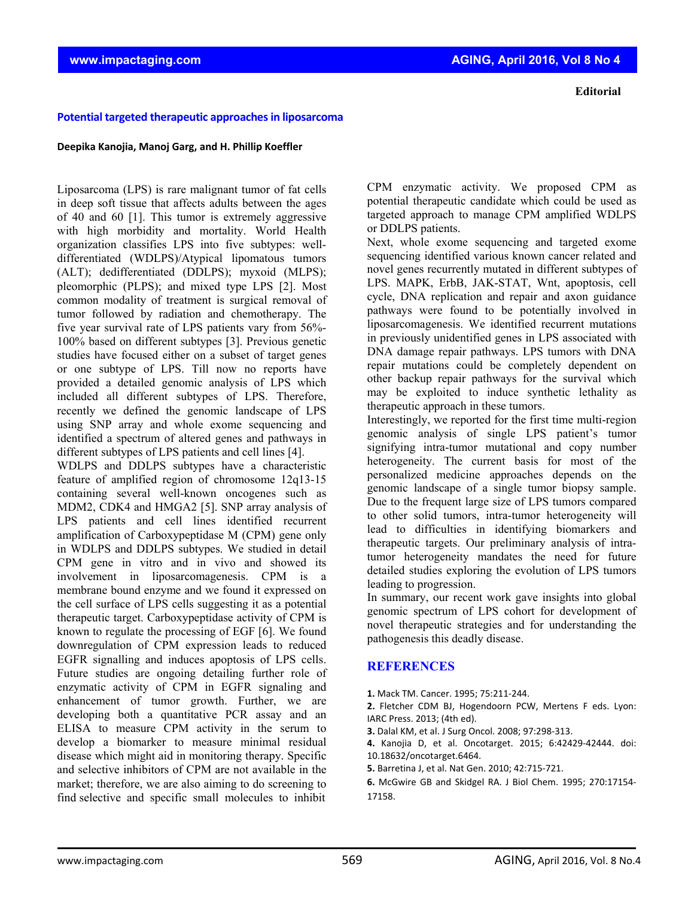## **Potential targeted therapeutic approachesin liposarcoma**

## **Deepika Kanojia, Manoj Garg, and H. Phillip Koeffler**

Liposarcoma (LPS) is rare malignant tumor of fat cells in deep soft tissue that affects adults between the ages of 40 and 60 [1]. This tumor is extremely aggressive with high morbidity and mortality. World Health organization classifies LPS into five subtypes: welldifferentiated (WDLPS)/Atypical lipomatous tumors (ALT); dedifferentiated (DDLPS); myxoid (MLPS); pleomorphic (PLPS); and mixed type LPS [2]. Most common modality of treatment is surgical removal of tumor followed by radiation and chemotherapy. The five year survival rate of LPS patients vary from 56%- 100% based on different subtypes [3]. Previous genetic studies have focused either on a subset of target genes or one subtype of LPS. Till now no reports have provided a detailed genomic analysis of LPS which included all different subtypes of LPS. Therefore, recently we defined the genomic landscape of LPS using SNP array and whole exome sequencing and identified a spectrum of altered genes and pathways in different subtypes of LPS patients and cell lines [4].

WDLPS and DDLPS subtypes have a characteristic feature of amplified region of chromosome 12q13-15 containing several well-known oncogenes such as MDM2, CDK4 and HMGA2 [5]. SNP array analysis of LPS patients and cell lines identified recurrent amplification of Carboxypeptidase M (CPM) gene only in WDLPS and DDLPS subtypes. We studied in detail CPM gene in vitro and in vivo and showed its involvement in liposarcomagenesis. CPM is a membrane bound enzyme and we found it expressed on the cell surface of LPS cells suggesting it as a potential therapeutic target. Carboxypeptidase activity of CPM is known to regulate the processing of EGF [6]. We found downregulation of CPM expression leads to reduced EGFR signalling and induces apoptosis of LPS cells. Future studies are ongoing detailing further role of enzymatic activity of CPM in EGFR signaling and enhancement of tumor growth. Further, we are developing both a quantitative PCR assay and an ELISA to measure CPM activity in the serum to develop a biomarker to measure minimal residual disease which might aid in monitoring therapy. Specific and selective inhibitors of CPM are not available in the market; therefore, we are also aiming to do screening to find selective and specific small molecules to inhibit

CPM enzymatic activity. We proposed CPM as potential therapeutic candidate which could be used as targeted approach to manage CPM amplified WDLPS or DDLPS patients.

Next, whole exome sequencing and targeted exome sequencing identified various known cancer related and novel genes recurrently mutated in different subtypes of LPS. MAPK, ErbB, JAK-STAT, Wnt, apoptosis, cell cycle, DNA replication and repair and axon guidance pathways were found to be potentially involved in liposarcomagenesis. We identified recurrent mutations in previously unidentified genes in LPS associated with DNA damage repair pathways. LPS tumors with DNA repair mutations could be completely dependent on other backup repair pathways for the survival which may be exploited to induce synthetic lethality as therapeutic approach in these tumors.

Interestingly, we reported for the first time multi-region genomic analysis of single LPS patient's tumor signifying intra-tumor mutational and copy number heterogeneity. The current basis for most of the personalized medicine approaches depends on the genomic landscape of a single tumor biopsy sample. Due to the frequent large size of LPS tumors compared to other solid tumors, intra-tumor heterogeneity will lead to difficulties in identifying biomarkers and therapeutic targets. Our preliminary analysis of intratumor heterogeneity mandates the need for future detailed studies exploring the evolution of LPS tumors leading to progression.

In summary, our recent work gave insights into global genomic spectrum of LPS cohort for development of novel therapeutic strategies and for understanding the pathogenesis this deadly disease.

## **REFERENCES**

**1.** Mack TM. Cancer. 1995; 75:211‐244.

**2.** Fletcher CDM BJ, Hogendoorn PCW, Mertens F eds. Lyon: IARC Press. 2013; (4th ed).

**3.** Dalal KM, et al. J Surg Oncol. 2008; 97:298‐313.

**4.** Kanojia D, et al. Oncotarget. 2015; 6:42429‐42444. doi: 10.18632/oncotarget.6464.

**5.** Barretina J, et al. Nat Gen. 2010; 42:715‐721.

**6.** McGwire GB and Skidgel RA. J Biol Chem. 1995; 270:17154‐ 17158.